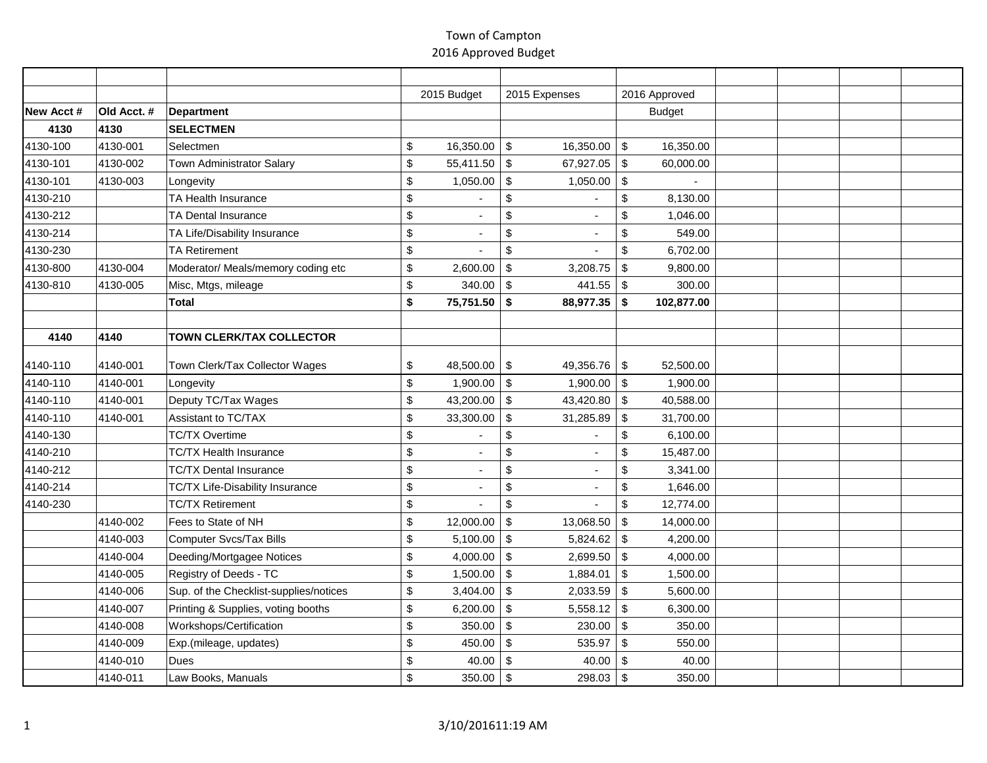|           |             |                                        | 2015 Budget                    | 2015 Expenses                          | 2016 Approved                          |  |  |
|-----------|-------------|----------------------------------------|--------------------------------|----------------------------------------|----------------------------------------|--|--|
| New Acct# | Old Acct. # | Department                             |                                |                                        | <b>Budget</b>                          |  |  |
| 4130      | 4130        | <b>SELECTMEN</b>                       |                                |                                        |                                        |  |  |
| 4130-100  | 4130-001    | Selectmen                              | \$<br>16,350.00                | $\sqrt[6]{3}$<br>16,350.00             | $\sqrt[6]{2}$<br>16,350.00             |  |  |
| 4130-101  | 4130-002    | Town Administrator Salary              | \$<br>55,411.50                | \$<br>67,927.05                        | \$<br>60,000.00                        |  |  |
| 4130-101  | 4130-003    | Longevity                              | \$<br>1,050.00                 | \$<br>1,050.00                         | $\sqrt[6]{\frac{1}{2}}$                |  |  |
| 4130-210  |             | TA Health Insurance                    | \$                             | \$                                     | $\boldsymbol{\mathsf{S}}$<br>8,130.00  |  |  |
| 4130-212  |             | TA Dental Insurance                    | \$                             | \$                                     | \$<br>1,046.00                         |  |  |
| 4130-214  |             | TA Life/Disability Insurance           | \$                             | $\mathfrak{S}$                         | \$<br>549.00                           |  |  |
| 4130-230  |             | <b>TA Retirement</b>                   | \$                             | \$                                     | $\sqrt[6]{\frac{1}{2}}$<br>6,702.00    |  |  |
| 4130-800  | 4130-004    | Moderator/ Meals/memory coding etc     | \$<br>2,600.00                 | \$<br>3,208.75                         | \$<br>9,800.00                         |  |  |
| 4130-810  | 4130-005    | Misc, Mtgs, mileage                    | \$<br>340.00                   | $\sqrt[6]{3}$<br>441.55                | $\sqrt[6]{3}$<br>300.00                |  |  |
|           |             | <b>Total</b>                           | \$<br>75,751.50 \$             | 88,977.35                              | \$<br>102,877.00                       |  |  |
|           |             |                                        |                                |                                        |                                        |  |  |
| 4140      | 4140        | <b>TOWN CLERK/TAX COLLECTOR</b>        |                                |                                        |                                        |  |  |
| 4140-110  | 4140-001    | Town Clerk/Tax Collector Wages         | \$<br>48,500.00                | \$<br>49,356.76                        | \$<br>52,500.00                        |  |  |
| 4140-110  | 4140-001    | Longevity                              | \$<br>1,900.00                 | $\sqrt[6]{3}$<br>1,900.00              | \$<br>1,900.00                         |  |  |
| 4140-110  | 4140-001    | Deputy TC/Tax Wages                    | \$<br>43,200.00                | $\boldsymbol{\mathsf{S}}$<br>43,420.80 | \$<br>40,588.00                        |  |  |
| 4140-110  | 4140-001    | Assistant to TC/TAX                    | \$<br>33,300.00                | \$<br>31,285.89                        | \$<br>31,700.00                        |  |  |
| 4140-130  |             | <b>TC/TX Overtime</b>                  | \$                             | \$<br>٠                                | $\boldsymbol{\mathsf{S}}$<br>6,100.00  |  |  |
| 4140-210  |             | <b>TC/TX Health Insurance</b>          | \$<br>$\overline{\phantom{a}}$ | \$<br>$\overline{a}$                   | $\boldsymbol{\mathsf{S}}$<br>15,487.00 |  |  |
| 4140-212  |             | <b>TC/TX Dental Insurance</b>          | \$<br>$\overline{\phantom{a}}$ | $\mathsf{\$}$                          | $\boldsymbol{\mathsf{S}}$<br>3,341.00  |  |  |
| 4140-214  |             | TC/TX Life-Disability Insurance        | \$                             | \$                                     | $\boldsymbol{\mathsf{S}}$<br>1,646.00  |  |  |
| 4140-230  |             | <b>TC/TX Retirement</b>                | \$                             | $\mathfrak{S}$                         | $\boldsymbol{\mathsf{S}}$<br>12,774.00 |  |  |
|           | 4140-002    | Fees to State of NH                    | \$<br>12,000.00                | \$<br>13,068.50                        | \$<br>14,000.00                        |  |  |
|           | 4140-003    | <b>Computer Svcs/Tax Bills</b>         | \$<br>5,100.00                 | $\sqrt[6]{3}$<br>5,824.62              | $\sqrt[6]{\frac{1}{2}}$<br>4,200.00    |  |  |
|           | 4140-004    | Deeding/Mortgagee Notices              | \$<br>4,000.00                 | $\sqrt[6]{3}$<br>2,699.50              | $\sqrt[6]{\frac{1}{2}}$<br>4,000.00    |  |  |
|           | 4140-005    | Registry of Deeds - TC                 | \$<br>1,500.00                 | $\sqrt[6]{3}$<br>1,884.01              | $\sqrt[6]{\frac{1}{2}}$<br>1,500.00    |  |  |
|           | 4140-006    | Sup. of the Checklist-supplies/notices | \$<br>3,404.00                 | \$<br>2,033.59                         | $\sqrt[6]{\frac{1}{2}}$<br>5,600.00    |  |  |
|           | 4140-007    | Printing & Supplies, voting booths     | \$<br>6,200.00                 | \$<br>5,558.12                         | $\sqrt[6]{\frac{1}{2}}$<br>6,300.00    |  |  |
|           | 4140-008    | Workshops/Certification                | \$<br>350.00                   | $\sqrt[6]{3}$<br>230.00                | \$<br>350.00                           |  |  |
|           | 4140-009    | Exp.(mileage, updates)                 | \$<br>450.00                   | $\sqrt[6]{3}$<br>535.97                | $\sqrt[6]{\frac{1}{2}}$<br>550.00      |  |  |
|           | 4140-010    | <b>Dues</b>                            | \$<br>40.00                    | $\mathfrak{S}$<br>40.00                | 40.00<br>\$                            |  |  |
|           | 4140-011    | Law Books, Manuals                     | \$<br>350.00                   | 298.03<br>$\sqrt[6]{3}$                | $\sqrt[6]{3}$<br>350.00                |  |  |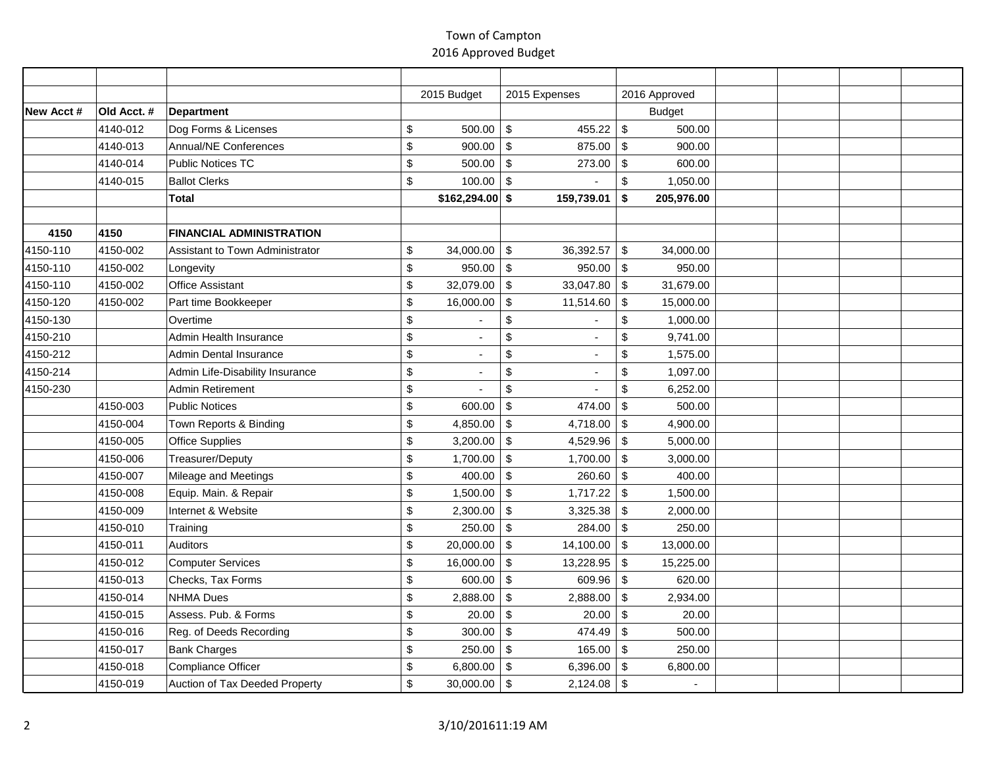|           |             |                                 | 2015 Budget                    | 2015 Expenses              | 2016 Approved                         |  |  |
|-----------|-------------|---------------------------------|--------------------------------|----------------------------|---------------------------------------|--|--|
| New Acct# | Old Acct. # | <b>Department</b>               |                                |                            | <b>Budget</b>                         |  |  |
|           | 4140-012    | Dog Forms & Licenses            | \$<br>500.00                   | $\sqrt[6]{3}$<br>455.22    | $\sqrt[6]{\frac{1}{2}}$<br>500.00     |  |  |
|           | 4140-013    | Annual/NE Conferences           | \$<br>900.00                   | $\sqrt[6]{3}$<br>875.00    | \$<br>900.00                          |  |  |
|           | 4140-014    | Public Notices TC               | \$<br>$500.00$ \ \$            | 273.00                     | \$<br>600.00                          |  |  |
|           | 4140-015    | <b>Ballot Clerks</b>            | \$<br>100.00                   | $\sqrt[6]{3}$              | $\mathbb{S}$<br>1,050.00              |  |  |
|           |             | <b>Total</b>                    | $$162,294.00$ \$               | 159,739.01                 | \$<br>205,976.00                      |  |  |
|           |             |                                 |                                |                            |                                       |  |  |
| 4150      | 4150        | <b>FINANCIAL ADMINISTRATION</b> |                                |                            |                                       |  |  |
| 4150-110  | 4150-002    | Assistant to Town Administrator | \$<br>34,000.00                | $\sqrt[6]{3}$<br>36,392.57 | \$<br>34,000.00                       |  |  |
| 4150-110  | 4150-002    | Longevity                       | \$<br>950.00                   | $\sqrt[6]{3}$<br>950.00    | \$<br>950.00                          |  |  |
| 4150-110  | 4150-002    | <b>Office Assistant</b>         | \$<br>32,079.00                | $\sqrt[6]{3}$<br>33,047.80 | \$<br>31,679.00                       |  |  |
| 4150-120  | 4150-002    | Part time Bookkeeper            | \$<br>16,000.00                | \$<br>11,514.60            | \$<br>15,000.00                       |  |  |
| 4150-130  |             | Overtime                        | \$                             | \$                         | $\boldsymbol{\mathsf{S}}$<br>1,000.00 |  |  |
| 4150-210  |             | Admin Health Insurance          | \$                             | \$                         | \$<br>9,741.00                        |  |  |
| 4150-212  |             | <b>Admin Dental Insurance</b>   | \$                             | \$                         | $\boldsymbol{\mathsf{S}}$<br>1,575.00 |  |  |
| 4150-214  |             | Admin Life-Disability Insurance | \$<br>$\overline{\phantom{a}}$ | \$                         | \$<br>1,097.00                        |  |  |
| 4150-230  |             | Admin Retirement                | \$                             | \$                         | $\,$<br>6,252.00                      |  |  |
|           | 4150-003    | Public Notices                  | \$<br>600.00                   | \$<br>474.00               | \$<br>500.00                          |  |  |
|           | 4150-004    | Town Reports & Binding          | \$<br>4,850.00                 | 4,718.00<br>$\sqrt[6]{3}$  | \$<br>4,900.00                        |  |  |
|           | 4150-005    | <b>Office Supplies</b>          | \$<br>3,200.00                 | 4,529.96<br>\$             | $\sqrt[6]{\frac{1}{2}}$<br>5,000.00   |  |  |
|           | 4150-006    | Treasurer/Deputy                | \$<br>1,700.00                 | $\sqrt[6]{3}$<br>1,700.00  | $\mathfrak{S}$<br>3,000.00            |  |  |
|           | 4150-007    | Mileage and Meetings            | \$<br>400.00                   | $\sqrt[6]{3}$<br>260.60    | $\sqrt[6]{\frac{1}{2}}$<br>400.00     |  |  |
|           | 4150-008    | Equip. Main. & Repair           | \$<br>1,500.00                 | $\sqrt[6]{3}$<br>1,717.22  | \$<br>1,500.00                        |  |  |
|           | 4150-009    | Internet & Website              | \$<br>2,300.00                 | $\sqrt[6]{3}$<br>3,325.38  | \$<br>2,000.00                        |  |  |
|           | 4150-010    | Training                        | \$<br>250.00                   | $\sqrt[6]{3}$<br>284.00    | $\sqrt[6]{\frac{1}{2}}$<br>250.00     |  |  |
|           | 4150-011    | Auditors                        | \$<br>20,000.00                | $\sqrt[6]{3}$<br>14,100.00 | $\sqrt[6]{\frac{1}{2}}$<br>13,000.00  |  |  |
|           | 4150-012    | Computer Services               | \$<br>16,000.00                | $\sqrt[6]{3}$<br>13,228.95 | $\sqrt[6]{\frac{1}{2}}$<br>15,225.00  |  |  |
|           | 4150-013    | Checks, Tax Forms               | \$<br>600.00                   | $\sqrt[6]{3}$<br>609.96    | $\sqrt[6]{\frac{1}{2}}$<br>620.00     |  |  |
|           | 4150-014    | <b>NHMA Dues</b>                | \$<br>2,888.00                 | $\sqrt[6]{3}$<br>2,888.00  | $\sqrt[6]{\frac{1}{2}}$<br>2,934.00   |  |  |
|           | 4150-015    | Assess, Pub. & Forms            | \$<br>20.00                    | $\sqrt[6]{3}$<br>20.00     | $\sqrt[6]{\frac{1}{2}}$<br>20.00      |  |  |
|           | 4150-016    | Reg. of Deeds Recording         | \$<br>300.00                   | \$<br>474.49               | $\sqrt[6]{\frac{1}{2}}$<br>500.00     |  |  |
|           | 4150-017    | <b>Bank Charges</b>             | \$<br>250.00                   | $\sqrt[6]{3}$<br>165.00    | \$<br>250.00                          |  |  |
|           | 4150-018    | Compliance Officer              | \$<br>6,800.00                 | $\sqrt[6]{3}$<br>6,396.00  | $\sqrt[6]{\frac{1}{2}}$<br>6,800.00   |  |  |
|           | 4150-019    | Auction of Tax Deeded Property  | \$<br>$30,000.00$ \$           | $2,124.08$ \\$             | $\overline{a}$                        |  |  |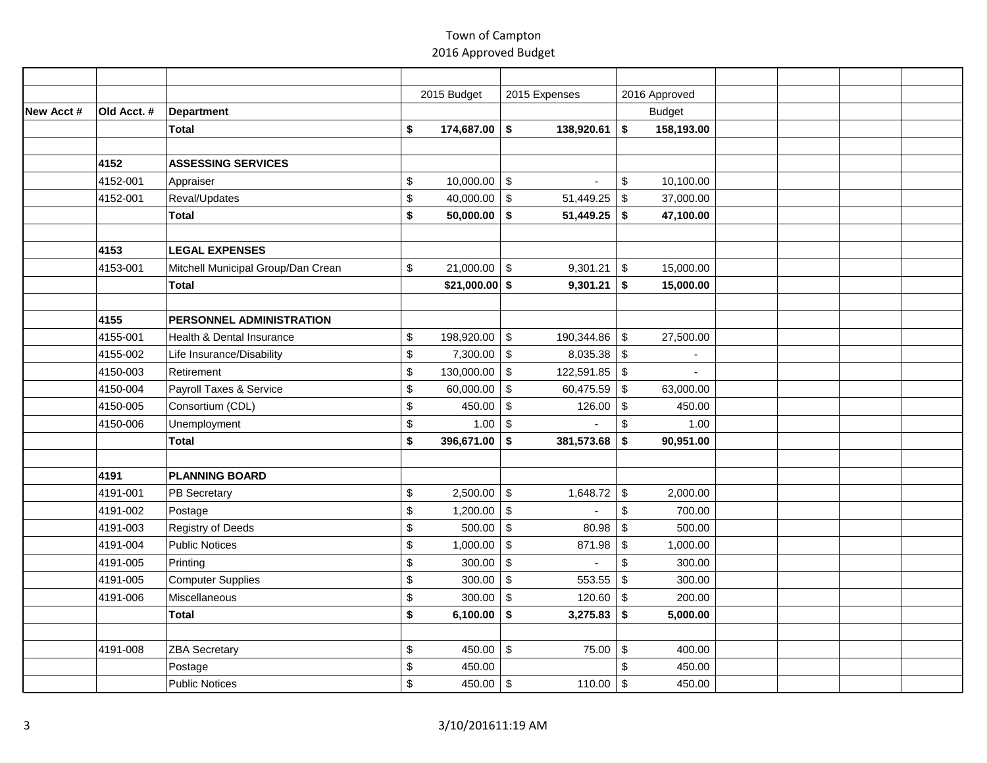|           |             |                                    | 2015 Budget                | 2015 Expenses                           |                           | 2016 Approved |  |  |
|-----------|-------------|------------------------------------|----------------------------|-----------------------------------------|---------------------------|---------------|--|--|
| New Acct# | Old Acct. # | Department                         |                            |                                         |                           | <b>Budget</b> |  |  |
|           |             | <b>Total</b>                       | \$<br>$174,687.00$ \$      | 138,920.61                              | \$                        | 158,193.00    |  |  |
|           |             |                                    |                            |                                         |                           |               |  |  |
|           | 4152        | <b>ASSESSING SERVICES</b>          |                            |                                         |                           |               |  |  |
|           | 4152-001    | Appraiser                          | \$<br>$10,000.00$ \$       |                                         | \$                        | 10,100.00     |  |  |
|           | 4152-001    | Reval/Updates                      | \$<br>40,000.00 \$         | 51,449.25                               | $\sqrt[6]{\frac{1}{2}}$   | 37,000.00     |  |  |
|           |             | <b>Total</b>                       | \$<br>$50,000.00$ \$       | 51,449.25                               | \$                        | 47,100.00     |  |  |
|           |             |                                    |                            |                                         |                           |               |  |  |
|           | 4153        | <b>LEGAL EXPENSES</b>              |                            |                                         |                           |               |  |  |
|           | 4153-001    | Mitchell Municipal Group/Dan Crean | \$<br>21,000.00            | \$<br>9,301.21                          | $\mathfrak{S}$            | 15,000.00     |  |  |
|           |             | <b>Total</b>                       | $$21,000.00$ \$            | 9,301.21                                | \$                        | 15,000.00     |  |  |
|           |             |                                    |                            |                                         |                           |               |  |  |
|           | 4155        | PERSONNEL ADMINISTRATION           |                            |                                         |                           |               |  |  |
|           | 4155-001    | Health & Dental Insurance          | \$<br>198,920.00           | $\boldsymbol{\mathsf{S}}$<br>190,344.86 | $\mathfrak{S}$            | 27,500.00     |  |  |
|           | 4155-002    | Life Insurance/Disability          | \$<br>7,300.00             | $\sqrt[6]{3}$<br>8,035.38               | $\sqrt[6]{\frac{1}{2}}$   |               |  |  |
|           | 4150-003    | Retirement                         | \$<br>130,000.00           | $\sqrt[6]{3}$<br>122,591.85             | \$                        |               |  |  |
|           | 4150-004    | Payroll Taxes & Service            | \$<br>60,000.00            | \$<br>60,475.59                         | \$                        | 63,000.00     |  |  |
|           | 4150-005    | Consortium (CDL)                   | \$<br>450.00 $\frac{1}{9}$ | 126.00                                  | $\sqrt[6]{\frac{1}{2}}$   | 450.00        |  |  |
|           | 4150-006    | Unemployment                       | \$<br>$1.00$ \ \$          |                                         | $\sqrt[6]{\frac{1}{2}}$   | 1.00          |  |  |
|           |             | <b>Total</b>                       | \$<br>$396,671.00$ \$      | 381,573.68                              | \$                        | 90,951.00     |  |  |
|           |             |                                    |                            |                                         |                           |               |  |  |
|           | 4191        | <b>PLANNING BOARD</b>              |                            |                                         |                           |               |  |  |
|           | 4191-001    | PB Secretary                       | \$<br>2,500.00             | $\sqrt[6]{3}$<br>1,648.72               | $\sqrt[6]{\frac{1}{2}}$   | 2,000.00      |  |  |
|           | 4191-002    | Postage                            | \$<br>1,200.00             | $\sqrt[6]{3}$                           | $\mathsf{\$}$             | 700.00        |  |  |
|           | 4191-003    | <b>Registry of Deeds</b>           | \$<br>500.00               | $\sqrt[6]{\frac{1}{2}}$<br>80.98        | $$\mathbb{S}$$            | 500.00        |  |  |
|           | 4191-004    | Public Notices                     | \$<br>1,000.00             | $\sqrt[6]{3}$<br>871.98                 | $\sqrt[6]{\frac{1}{2}}$   | 1,000.00      |  |  |
|           | 4191-005    | Printing                           | \$<br>300.00               | $\sqrt{2}$                              | $\mathsf{\$}$             | 300.00        |  |  |
|           | 4191-005    | Computer Supplies                  | \$<br>300.00               | $\sqrt[6]{3}$<br>553.55                 | $\sqrt[6]{\frac{1}{2}}$   | 300.00        |  |  |
|           | 4191-006    | Miscellaneous                      | \$<br>300.00               | $\sqrt{2}$<br>120.60                    | $\boldsymbol{\mathsf{S}}$ | 200.00        |  |  |
|           |             | Total                              | \$<br>6,100.00             | $\boldsymbol{\$}$<br>3,275.83           | \$                        | 5,000.00      |  |  |
|           |             |                                    |                            |                                         |                           |               |  |  |
|           | 4191-008    | <b>ZBA Secretary</b>               | \$<br>450.00               | $\boldsymbol{\mathsf{S}}$<br>75.00      | \$                        | 400.00        |  |  |
|           |             | Postage                            | \$<br>450.00               |                                         | $\boldsymbol{\mathsf{S}}$ | 450.00        |  |  |
|           |             | <b>Public Notices</b>              | \$<br>450.00 \\$           | 110.00                                  | $\mathfrak{S}$            | 450.00        |  |  |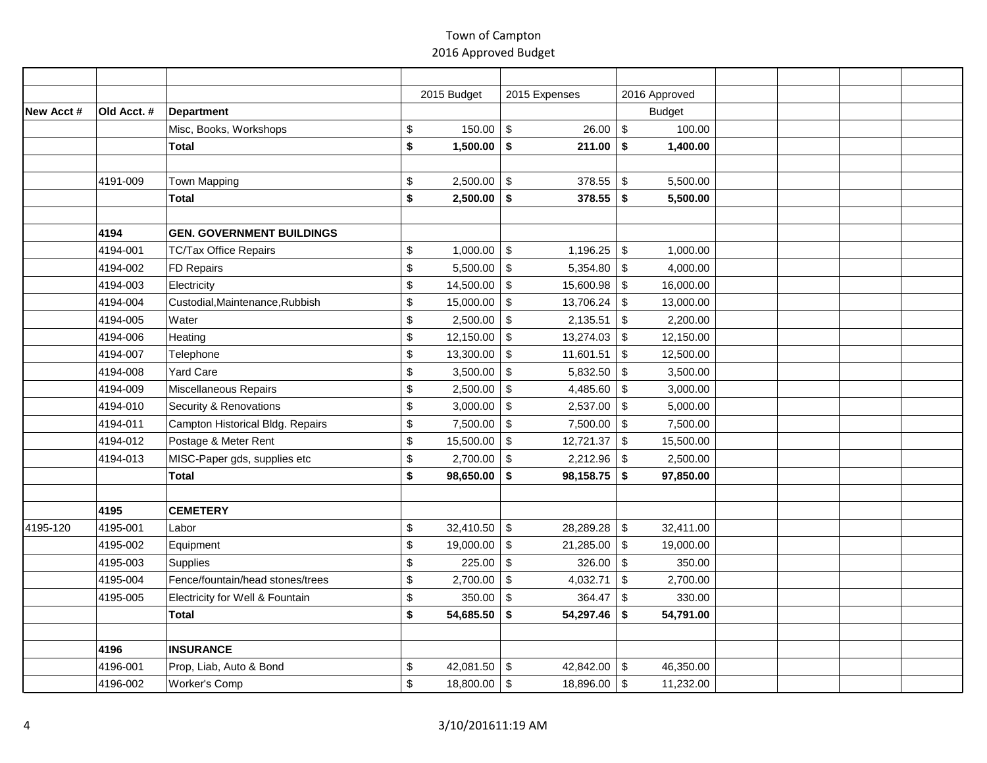|           |             |                                  | 2015 Budget                   | 2015 Expenses                         |                           | 2016 Approved |  |  |
|-----------|-------------|----------------------------------|-------------------------------|---------------------------------------|---------------------------|---------------|--|--|
| New Acct# | Old Acct. # | Department                       |                               |                                       |                           | <b>Budget</b> |  |  |
|           |             | Misc, Books, Workshops           | \$<br>150.00                  | $\boldsymbol{\mathsf{S}}$<br>26.00    | $\sqrt[6]{2}$             | 100.00        |  |  |
|           |             | <b>Total</b>                     | \$<br>$1,500.00$ \$           | 211.00                                | \$                        | 1,400.00      |  |  |
|           |             |                                  |                               |                                       |                           |               |  |  |
|           | 4191-009    | Town Mapping                     | \$<br>2,500.00                | $\sqrt[6]{3}$<br>378.55               | $\sqrt[6]{\frac{1}{2}}$   | 5,500.00      |  |  |
|           |             | Total                            | \$<br>2,500.00                | \$<br>378.55                          | \$                        | 5,500.00      |  |  |
|           |             |                                  |                               |                                       |                           |               |  |  |
|           | 4194        | <b>GEN. GOVERNMENT BUILDINGS</b> |                               |                                       |                           |               |  |  |
|           | 4194-001    | <b>TC/Tax Office Repairs</b>     | \$<br>1,000.00                | $\sqrt[6]{3}$<br>1,196.25             | $\sqrt[6]{3}$             | 1,000.00      |  |  |
|           | 4194-002    | FD Repairs                       | \$<br>5,500.00                | \$<br>5,354.80                        | $\boldsymbol{\mathsf{S}}$ | 4,000.00      |  |  |
|           | 4194-003    | Electricity                      | \$<br>14,500.00               | $\sqrt[6]{3}$<br>15,600.98            | $\sqrt[6]{\frac{1}{2}}$   | 16,000.00     |  |  |
|           | 4194-004    | Custodial, Maintenance, Rubbish  | \$<br>15,000.00               | $\sqrt[6]{3}$<br>13,706.24            | \$                        | 13,000.00     |  |  |
|           | 4194-005    | Water                            | \$<br>2,500.00                | $\boldsymbol{\$}$<br>2,135.51         | $\sqrt[6]{\frac{1}{2}}$   | 2,200.00      |  |  |
|           | 4194-006    | Heating                          | \$<br>12,150.00               | $\sqrt[6]{3}$<br>13,274.03            | $\sqrt[6]{\frac{1}{2}}$   | 12,150.00     |  |  |
|           | 4194-007    | Telephone                        | \$<br>13,300.00               | $\sqrt[6]{3}$<br>11,601.51            | $\sqrt[6]{\frac{1}{2}}$   | 12,500.00     |  |  |
|           | 4194-008    | Yard Care                        | \$<br>3,500.00                | $\sqrt[6]{3}$<br>5,832.50             | $\sqrt[6]{3}$             | 3,500.00      |  |  |
|           | 4194-009    | Miscellaneous Repairs            | \$<br>2,500.00                | $\sqrt[6]{3}$<br>4,485.60             | $\sqrt[6]{3}$             | 3,000.00      |  |  |
|           | 4194-010    | Security & Renovations           | \$<br>3,000.00                | $\sqrt[6]{3}$<br>2,537.00             | $\sqrt[6]{\frac{1}{2}}$   | 5,000.00      |  |  |
|           | 4194-011    | Campton Historical Bldg. Repairs | \$<br>$7,500.00$ \ \$         | 7,500.00                              | $\sqrt[6]{3}$             | 7,500.00      |  |  |
|           | 4194-012    | Postage & Meter Rent             | \$<br>15,500.00               | $\sqrt[6]{3}$<br>12,721.37            | $\sqrt[6]{\frac{1}{2}}$   | 15,500.00     |  |  |
|           | 4194-013    | MISC-Paper gds, supplies etc     | \$<br>2,700.00                | $\sqrt[6]{\frac{1}{2}}$<br>2,212.96   | $\boldsymbol{\mathsf{S}}$ | 2,500.00      |  |  |
|           |             | <b>Total</b>                     | \$<br>98,650.00               | 98,158.75<br>\$                       | \$                        | 97,850.00     |  |  |
|           |             |                                  |                               |                                       |                           |               |  |  |
|           | 4195        | <b>CEMETERY</b>                  |                               |                                       |                           |               |  |  |
| 4195-120  | 4195-001    | Labor                            | \$<br>32,410.50               | $\sqrt[6]{3}$<br>28,289.28            | $\sqrt[6]{2}$             | 32,411.00     |  |  |
|           | 4195-002    | Equipment                        | \$<br>19,000.00               | $\sqrt[6]{3}$<br>21,285.00            | $\sqrt[6]{3}$             | 19,000.00     |  |  |
|           | 4195-003    | Supplies                         | \$<br>225.00                  | $\sqrt[6]{3}$<br>326.00               | $\mathfrak{S}$            | 350.00        |  |  |
|           | 4195-004    | Fence/fountain/head stones/trees | \$<br>2,700.00                | $\boldsymbol{\mathsf{S}}$<br>4,032.71 | $\sqrt[6]{\frac{1}{2}}$   | 2,700.00      |  |  |
|           | 4195-005    | Electricity for Well & Fountain  | \$<br>350.00                  | $\sqrt[6]{3}$<br>364.47               | $\sqrt[6]{\frac{1}{2}}$   | 330.00        |  |  |
|           |             | <b>Total</b>                     | \$<br>54,685.50               | 54,297.46<br>\$                       | \$                        | 54,791.00     |  |  |
|           |             |                                  |                               |                                       |                           |               |  |  |
|           | 4196        | <b>INSURANCE</b>                 |                               |                                       |                           |               |  |  |
|           | 4196-001    | Prop, Liab, Auto & Bond          | \$<br>42,081.50 $\frac{1}{9}$ | 42,842.00 \\$                         |                           | 46,350.00     |  |  |
|           | 4196-002    | Worker's Comp                    | \$<br>$18,800.00$ \$          | 18,896.00 \$                          |                           | 11,232.00     |  |  |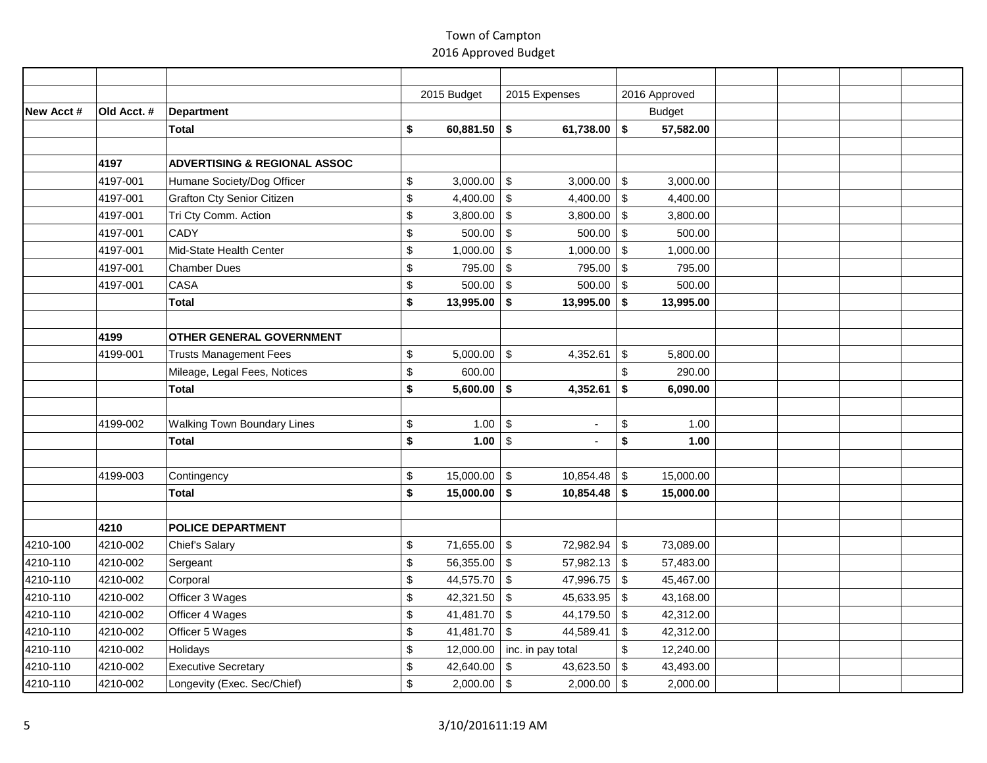|           |             |                                         | 2015 Budget         | 2015 Expenses                             | 2016 Approved                         |  |  |
|-----------|-------------|-----------------------------------------|---------------------|-------------------------------------------|---------------------------------------|--|--|
| New Acct# | Old Acct. # | <b>Department</b>                       |                     |                                           | <b>Budget</b>                         |  |  |
|           |             | <b>Total</b>                            | \$<br>60,881.50     | 61,738.00 $\vert$ \$<br>$\sqrt{2}$        | 57,582.00                             |  |  |
|           |             |                                         |                     |                                           |                                       |  |  |
|           | 4197        | <b>ADVERTISING &amp; REGIONAL ASSOC</b> |                     |                                           |                                       |  |  |
|           | 4197-001    | Humane Society/Dog Officer              | \$<br>3,000.00      | $\sqrt[6]{\frac{1}{2}}$<br>$3,000.00$ \$  | 3,000.00                              |  |  |
|           | 4197-001    | <b>Grafton Cty Senior Citizen</b>       | \$<br>4,400.00      | $\sqrt[6]{3}$<br>4,400.00                 | $\sqrt[6]{3}$<br>4,400.00             |  |  |
|           | 4197-001    | Tri Cty Comm. Action                    | \$<br>3,800.00      | \$<br>3,800.00                            | $\sqrt[6]{3}$<br>3,800.00             |  |  |
|           | 4197-001    | <b>CADY</b>                             | \$<br>500.00        | $\sqrt[6]{3}$<br>500.00                   | $\sqrt[6]{3}$<br>500.00               |  |  |
|           | 4197-001    | Mid-State Health Center                 | \$<br>1,000.00      | $\sqrt{2}$<br>1,000.00                    | $\boldsymbol{\mathsf{S}}$<br>1,000.00 |  |  |
|           | 4197-001    | Chamber Dues                            | \$<br>795.00        | $\sqrt[6]{\frac{1}{2}}$<br>795.00         | $\boldsymbol{\mathsf{S}}$<br>795.00   |  |  |
|           | 4197-001    | CASA                                    | \$<br>500.00        | $\sqrt[6]{3}$<br>500.00                   | $\boldsymbol{\mathsf{S}}$<br>500.00   |  |  |
|           |             | Total                                   | \$<br>13,995.00     | 13,995.00<br>\$                           | \$<br>13,995.00                       |  |  |
|           |             |                                         |                     |                                           |                                       |  |  |
|           | 4199        | OTHER GENERAL GOVERNMENT                |                     |                                           |                                       |  |  |
|           | 4199-001    | <b>Trusts Management Fees</b>           | \$<br>5,000.00      | $\boldsymbol{\mathsf{S}}$<br>4,352.61     | 5,800.00<br>\$                        |  |  |
|           |             | Mileage, Legal Fees, Notices            | \$<br>600.00        |                                           | \$<br>290.00                          |  |  |
|           |             | Total                                   | \$<br>5,600.00      | \$<br>4,352.61                            | \$<br>6,090.00                        |  |  |
|           |             |                                         |                     |                                           |                                       |  |  |
|           | 4199-002    | <b>Walking Town Boundary Lines</b>      | \$<br>1.00          | $\sqrt[6]{3}$<br>÷,                       | $\,$<br>1.00                          |  |  |
|           |             | Total                                   | \$<br>1.00          | \$                                        | \$<br>1.00                            |  |  |
|           |             |                                         |                     |                                           |                                       |  |  |
|           | 4199-003    | Contingency                             | \$<br>15,000.00     | $\sqrt[6]{\frac{1}{2}}$<br>$10,854.48$ \$ | 15,000.00                             |  |  |
|           |             | Total                                   | \$<br>15,000.00     | \$<br>$10,854.48$ \$                      | 15,000.00                             |  |  |
|           |             |                                         |                     |                                           |                                       |  |  |
|           | 4210        | <b>POLICE DEPARTMENT</b>                |                     |                                           |                                       |  |  |
| 4210-100  | 4210-002    | Chief's Salary                          | \$<br>71,655.00     | $\sqrt[6]{3}$<br>72,982.94 \$             | 73,089.00                             |  |  |
| 4210-110  | 4210-002    | Sergeant                                | \$<br>56,355.00     | \$<br>57,982.13                           | $\sqrt[6]{3}$<br>57,483.00            |  |  |
| 4210-110  | 4210-002    | Corporal                                | \$<br>44,575.70     | 47,996.75<br>\$                           | $\mathfrak{S}$<br>45,467.00           |  |  |
| 4210-110  | 4210-002    | Officer 3 Wages                         | \$<br>42,321.50     | $\boldsymbol{\mathsf{S}}$<br>45,633.95    | $\sqrt[6]{2}$<br>43,168.00            |  |  |
| 4210-110  | 4210-002    | Officer 4 Wages                         | \$<br>41,481.70     | $\sqrt[6]{3}$<br>44,179.50                | $\sqrt[6]{3}$<br>42,312.00            |  |  |
| 4210-110  | 4210-002    | Officer 5 Wages                         | \$<br>41,481.70     | $\sqrt[6]{3}$<br>44,589.41                | \$<br>42,312.00                       |  |  |
| 4210-110  | 4210-002    | Holidays                                | \$<br>12,000.00     | inc. in pay total                         | $\mathsf{\$}$<br>12,240.00            |  |  |
| 4210-110  | 4210-002    | <b>Executive Secretary</b>              | \$<br>42,640.00     | \$<br>43,623.50                           | $\sqrt[6]{2}$<br>43,493.00            |  |  |
| 4210-110  | 4210-002    | Longevity (Exec. Sec/Chief)             | \$<br>$2,000.00$ \$ | $2,000.00$ \$                             | 2,000.00                              |  |  |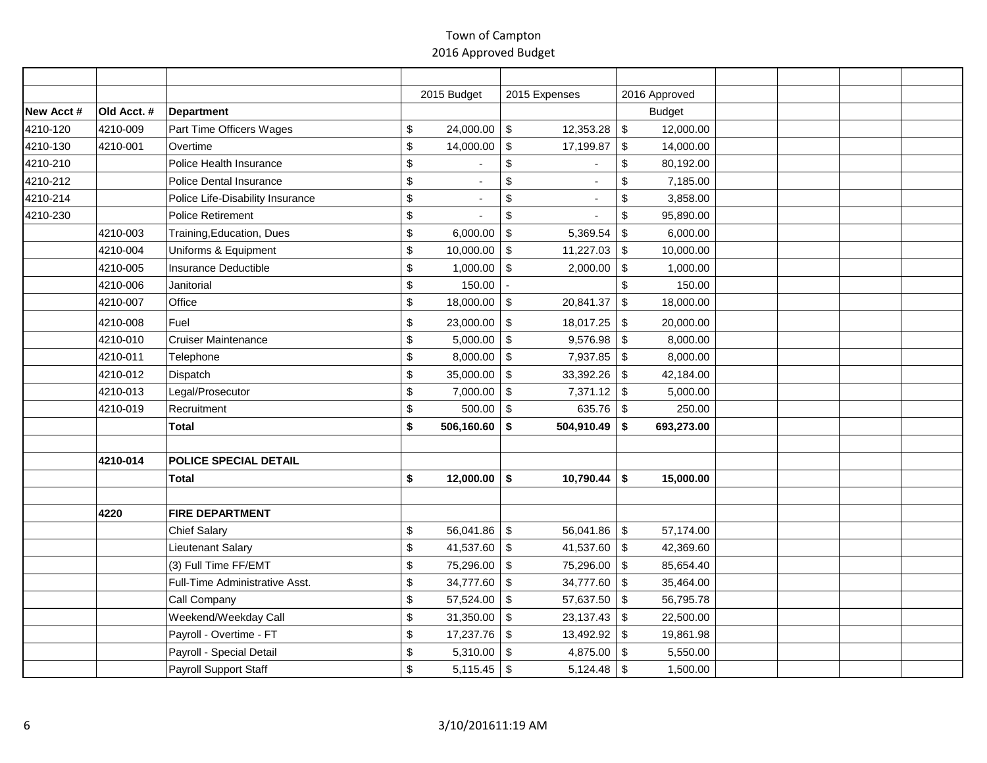|            |             |                                  | 2015 Budget      | 2015 Expenses                          | 2016 Approved                          |  |  |
|------------|-------------|----------------------------------|------------------|----------------------------------------|----------------------------------------|--|--|
| New Acct # | Old Acct. # | Department                       |                  |                                        | <b>Budget</b>                          |  |  |
| 4210-120   | 4210-009    | Part Time Officers Wages         | \$<br>24,000.00  | $\sqrt[6]{3}$<br>12,353.28             | $\mathfrak{S}$<br>12,000.00            |  |  |
| 4210-130   | 4210-001    | Overtime                         | \$<br>14,000.00  | $\boldsymbol{\mathsf{S}}$<br>17,199.87 | $\sqrt[6]{\frac{1}{2}}$<br>14,000.00   |  |  |
| 4210-210   |             | Police Health Insurance          | \$               | $\boldsymbol{\mathsf{S}}$              | \$<br>80,192.00                        |  |  |
| 4210-212   |             | Police Dental Insurance          | \$               | $\sqrt{2}$                             | \$<br>7,185.00                         |  |  |
| 4210-214   |             | Police Life-Disability Insurance | \$               | $\$\,$                                 | \$<br>3,858.00                         |  |  |
| 4210-230   |             | <b>Police Retirement</b>         | \$               | $\boldsymbol{\mathsf{S}}$              | \$<br>95,890.00                        |  |  |
|            | 4210-003    | Training, Education, Dues        | \$<br>6,000.00   | $\sqrt[6]{\frac{1}{2}}$<br>5,369.54    | $\sqrt[6]{\frac{1}{2}}$<br>6,000.00    |  |  |
|            | 4210-004    | Uniforms & Equipment             | \$<br>10,000.00  | \$<br>11,227.03                        | \$<br>10,000.00                        |  |  |
|            | 4210-005    | Insurance Deductible             | \$<br>1,000.00   | $\boldsymbol{\mathsf{S}}$<br>2,000.00  | $\sqrt[6]{\frac{1}{2}}$<br>1,000.00    |  |  |
|            | 4210-006    | Janitorial                       | \$<br>150.00     |                                        | \$<br>150.00                           |  |  |
|            | 4210-007    | Office                           | \$<br>18,000.00  | $\sqrt[6]{3}$<br>20,841.37             | $\sqrt[6]{\frac{1}{2}}$<br>18,000.00   |  |  |
|            | 4210-008    | Fuel                             | \$<br>23,000.00  | $\sqrt[6]{\frac{1}{2}}$<br>18,017.25   | $\mathfrak{S}$<br>20,000.00            |  |  |
|            | 4210-010    | <b>Cruiser Maintenance</b>       | \$<br>5,000.00   | $\sqrt[6]{3}$<br>9,576.98              | $\sqrt[6]{\frac{1}{2}}$<br>8,000.00    |  |  |
|            | 4210-011    | Telephone                        | \$<br>8,000.00   | 7,937.85<br>\$                         | \$<br>8,000.00                         |  |  |
|            | 4210-012    | Dispatch                         | \$<br>35,000.00  | $\sqrt[6]{3}$<br>33,392.26             | $\sqrt[6]{\frac{1}{2}}$<br>42,184.00   |  |  |
|            | 4210-013    | Legal/Prosecutor                 | \$<br>7,000.00   | $\boldsymbol{\mathsf{S}}$<br>7,371.12  | $\sqrt[6]{\frac{1}{2}}$<br>5,000.00    |  |  |
|            | 4210-019    | Recruitment                      | \$<br>500.00     | $\sqrt[6]{3}$<br>635.76                | $\sqrt{2}$<br>250.00                   |  |  |
|            |             | Total                            | \$<br>506,160.60 | \$<br>504,910.49                       | \$<br>693,273.00                       |  |  |
|            |             |                                  |                  |                                        |                                        |  |  |
|            | 4210-014    | POLICE SPECIAL DETAIL            |                  |                                        |                                        |  |  |
|            |             | Total                            | \$<br>12,000.00  | $10,790.44$ \$<br>\$                   | 15,000.00                              |  |  |
|            |             |                                  |                  |                                        |                                        |  |  |
|            | 4220        | <b>FIRE DEPARTMENT</b>           |                  |                                        |                                        |  |  |
|            |             | <b>Chief Salary</b>              | \$<br>56,041.86  | $\mathfrak{S}$<br>$56,041.86$ \\$      | 57,174.00                              |  |  |
|            |             | Lieutenant Salary                | \$<br>41,537.60  | $\sqrt[6]{3}$<br>41,537.60             | $\boldsymbol{\mathsf{S}}$<br>42,369.60 |  |  |
|            |             | (3) Full Time FF/EMT             | \$<br>75,296.00  | $\sqrt[6]{3}$<br>75,296.00             | $\sqrt[6]{\frac{1}{2}}$<br>85,654.40   |  |  |
|            |             | Full-Time Administrative Asst.   | \$<br>34,777.60  | $\sqrt[6]{3}$<br>34,777.60 \$          | 35,464.00                              |  |  |
|            |             | Call Company                     | \$<br>57,524.00  | $\mathfrak{S}$<br>57,637.50            | $\sqrt[6]{\frac{1}{2}}$<br>56,795.78   |  |  |
|            |             | Weekend/Weekday Call             | \$<br>31,350.00  | $\sqrt[6]{3}$<br>23, 137. 43           | $\mathfrak{S}$<br>22,500.00            |  |  |
|            |             | Payroll - Overtime - FT          | \$<br>17,237.76  | $\sqrt[6]{3}$<br>13,492.92             | $\sqrt{2}$<br>19,861.98                |  |  |
|            |             | Payroll - Special Detail         | \$<br>5,310.00   | \$<br>4,875.00                         | $\sqrt[6]{3}$<br>5,550.00              |  |  |
|            |             | Payroll Support Staff            | \$<br>5,115.45   | \$<br>$5,124.48$ \\$                   | 1,500.00                               |  |  |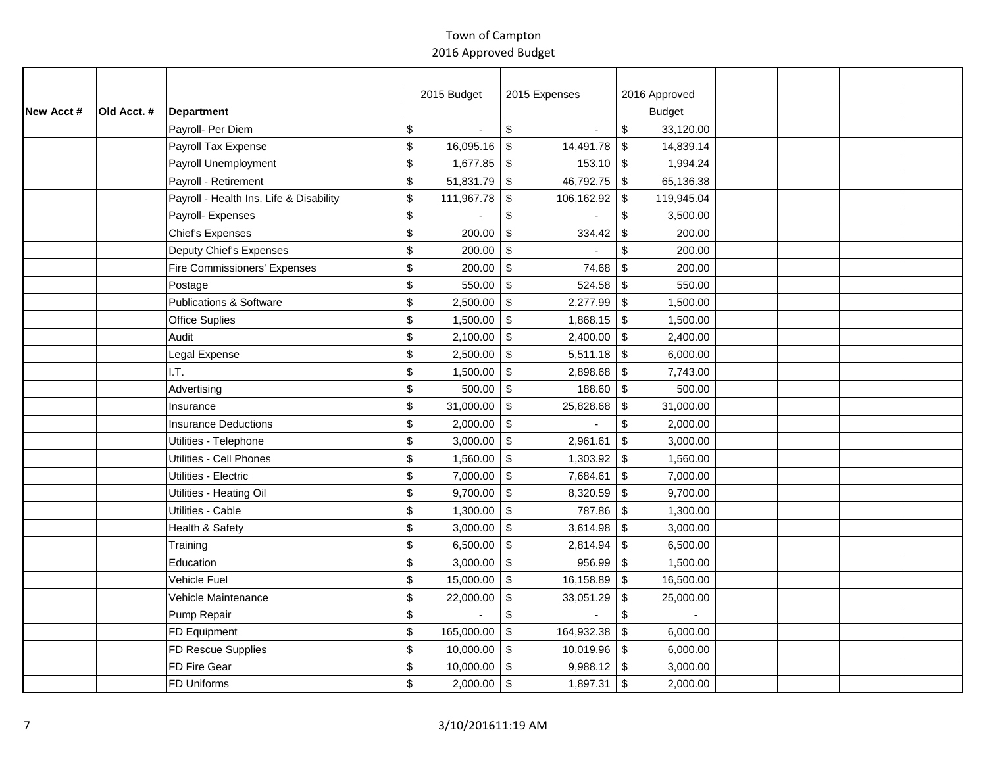|           |             |                                         | 2015 Budget                    | 2015 Expenses                       | 2016 Approved                         |  |  |
|-----------|-------------|-----------------------------------------|--------------------------------|-------------------------------------|---------------------------------------|--|--|
| New Acct# | Old Acct. # | Department                              |                                |                                     | <b>Budget</b>                         |  |  |
|           |             | Payroll- Per Diem                       | \$<br>$\overline{\phantom{a}}$ | $\boldsymbol{\mathsf{S}}$           | $\$\$<br>33,120.00                    |  |  |
|           |             | Payroll Tax Expense                     | \$<br>16,095.16                | $\sqrt[6]{3}$<br>14,491.78          | \$<br>14,839.14                       |  |  |
|           |             | Payroll Unemployment                    | \$<br>$1,677.85$ \$            | 153.10                              | 1,994.24<br>\$                        |  |  |
|           |             | Payroll - Retirement                    | \$<br>$51,831.79$ \$           | 46,792.75                           | $\sqrt[6]{\frac{1}{2}}$<br>65,136.38  |  |  |
|           |             | Payroll - Health Ins. Life & Disability | \$<br>111,967.78               | \$<br>106,162.92                    | \$<br>119,945.04                      |  |  |
|           |             | Payroll- Expenses                       | \$                             | $\boldsymbol{\$}$                   | $\mathsf{\$}$<br>3,500.00             |  |  |
|           |             | <b>Chief's Expenses</b>                 | \$<br>200.00                   | $\boldsymbol{\mathsf{S}}$<br>334.42 | $\,$<br>200.00                        |  |  |
|           |             | Deputy Chief's Expenses                 | \$<br>200.00                   | $\sqrt[6]{\frac{1}{2}}$             | $\,$<br>200.00                        |  |  |
|           |             | Fire Commissioners' Expenses            | \$<br>200.00                   | $\sqrt{2}$<br>74.68                 | $\sqrt[6]{\frac{1}{2}}$<br>200.00     |  |  |
|           |             | Postage                                 | \$<br>550.00                   | $\sqrt[6]{3}$<br>524.58             | $\sqrt[6]{\frac{1}{2}}$<br>550.00     |  |  |
|           |             | <b>Publications &amp; Software</b>      | \$<br>2,500.00                 | $\sqrt[6]{3}$<br>2,277.99           | $\sqrt[6]{\frac{1}{2}}$<br>1,500.00   |  |  |
|           |             | <b>Office Suplies</b>                   | \$<br>1,500.00                 | $\sqrt[6]{3}$<br>1,868.15           | $\sqrt[6]{\frac{1}{2}}$<br>1,500.00   |  |  |
|           |             | Audit                                   | \$<br>2,100.00                 | $\sqrt[6]{3}$<br>2,400.00           | $\sqrt[6]{\frac{1}{2}}$<br>2,400.00   |  |  |
|           |             | Legal Expense                           | \$<br>2,500.00                 | $\sqrt[6]{3}$<br>5,511.18           | $\sqrt[6]{\frac{1}{2}}$<br>6,000.00   |  |  |
|           |             | I.T.                                    | \$<br>1,500.00                 | $\sqrt[6]{3}$<br>2,898.68           | \$<br>7,743.00                        |  |  |
|           |             | Advertising                             | \$<br>$500.00$ \\$             | 188.60                              | $\sqrt[6]{3}$<br>500.00               |  |  |
|           |             | Insurance                               | \$<br>31,000.00 $\vert$ \$     | 25,828.68                           | \$<br>31,000.00                       |  |  |
|           |             | <b>Insurance Deductions</b>             | \$<br>$2,000.00$ \$            |                                     | $\mathfrak s$<br>2,000.00             |  |  |
|           |             | Utilities - Telephone                   | \$<br>$3,000.00$ \$            | 2,961.61                            | $\sqrt[6]{\frac{1}{2}}$<br>3,000.00   |  |  |
|           |             | Utilities - Cell Phones                 | \$<br>1,560.00                 | $\sqrt[6]{3}$<br>1,303.92           | $\sqrt[6]{\frac{1}{2}}$<br>1,560.00   |  |  |
|           |             | Utilities - Electric                    | \$<br>7,000.00                 | $\sqrt[6]{3}$<br>7,684.61           | $\sqrt[6]{\frac{1}{2}}$<br>7,000.00   |  |  |
|           |             | Utilities - Heating Oil                 | \$<br>9,700.00                 | $\sqrt[6]{3}$<br>8,320.59           | $\sqrt[6]{\frac{1}{2}}$<br>9,700.00   |  |  |
|           |             | Utilities - Cable                       | \$<br>1,300.00                 | $\sqrt[6]{3}$<br>787.86             | \$<br>1,300.00                        |  |  |
|           |             | Health & Safety                         | \$<br>3,000.00                 | $\sqrt[6]{3}$<br>3,614.98           | $\,$<br>3,000.00                      |  |  |
|           |             | Training                                | \$<br>6,500.00                 | $\sqrt[6]{3}$<br>2,814.94           | $\boldsymbol{\mathsf{S}}$<br>6,500.00 |  |  |
|           |             | Education                               | \$<br>3,000.00                 | $\sqrt[6]{3}$<br>956.99             | $\sqrt[6]{\frac{1}{2}}$<br>1,500.00   |  |  |
|           |             | Vehicle Fuel                            | \$<br>15,000.00                | 16,158.89<br>$\sqrt[6]{3}$          | $\sqrt[6]{\frac{1}{2}}$<br>16,500.00  |  |  |
|           |             | Vehicle Maintenance                     | \$<br>22,000.00                | $\sqrt[6]{3}$<br>33,051.29          | $\sqrt[6]{\frac{1}{2}}$<br>25,000.00  |  |  |
|           |             | Pump Repair                             | \$                             | $\sqrt[6]{\frac{1}{2}}$             | $\mathsf{\$}$                         |  |  |
|           |             | FD Equipment                            | \$<br>165,000.00               | 164,932.38<br>\$                    | $\sqrt[6]{\frac{1}{2}}$<br>6,000.00   |  |  |
|           |             | FD Rescue Supplies                      | \$<br>10,000.00                | $\sqrt[6]{3}$<br>10,019.96          | \$<br>6,000.00                        |  |  |
|           |             | FD Fire Gear                            | \$<br>$10,000.00$ \$           | 9,988.12                            | $\boldsymbol{\mathsf{S}}$<br>3,000.00 |  |  |
|           |             | <b>FD Uniforms</b>                      | \$<br>$2,000.00$ \$            | 1,897.31                            | $\boldsymbol{\mathsf{S}}$<br>2,000.00 |  |  |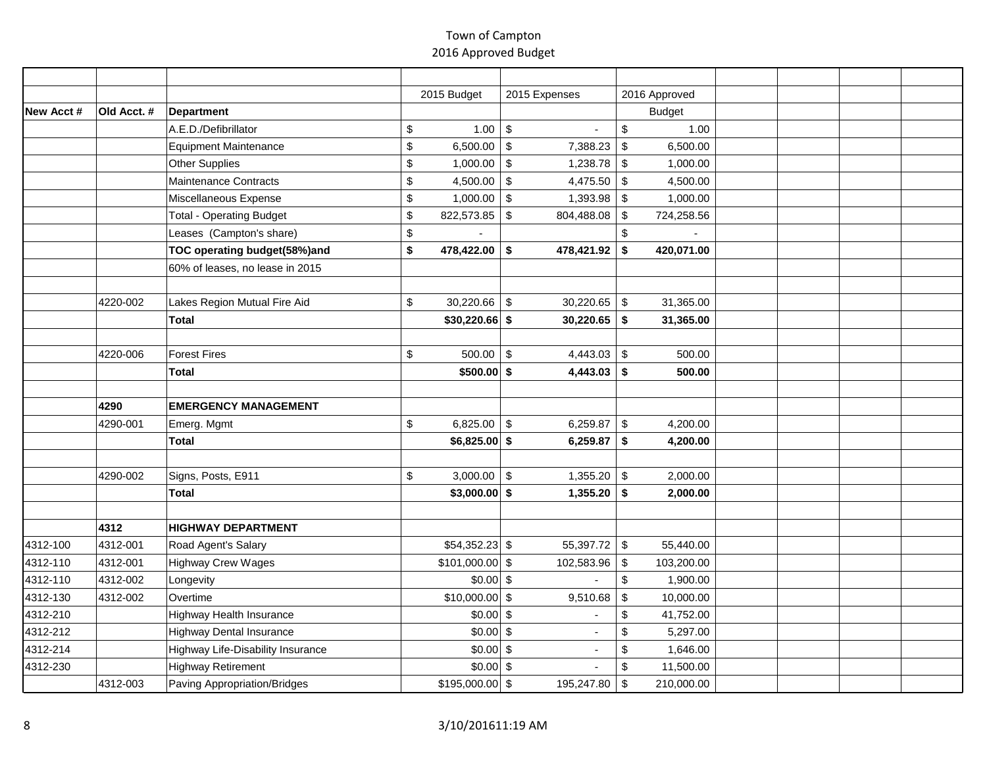|           |             |                                   | 2015 Budget                  | 2015 Expenses                           | 2016 Approved                         |  |  |
|-----------|-------------|-----------------------------------|------------------------------|-----------------------------------------|---------------------------------------|--|--|
| New Acct# | Old Acct. # | Department                        |                              |                                         | <b>Budget</b>                         |  |  |
|           |             | A.E.D./Defibrillator              | \$<br>1.00                   | $\sqrt[6]{3}$                           | $\mathsf{\$}$<br>1.00                 |  |  |
|           |             | Equipment Maintenance             | 6,500.00 \\$<br>\$           | 7,388.23                                | \$<br>6,500.00                        |  |  |
|           |             | Other Supplies                    | \$<br>$1,000.00$ \$          | 1,238.78                                | \$<br>1,000.00                        |  |  |
|           |             | Maintenance Contracts             | \$<br>4,500.00               | \$<br>4,475.50                          | $\sqrt[6]{\frac{1}{2}}$<br>4,500.00   |  |  |
|           |             | Miscellaneous Expense             | \$<br>$1,000.00$ \$          | 1,393.98                                | \$<br>1,000.00                        |  |  |
|           |             | <b>Total - Operating Budget</b>   | \$<br>822,573.85             | $\boldsymbol{\mathsf{S}}$<br>804,488.08 | \$<br>724,258.56                      |  |  |
|           |             | Leases (Campton's share)          | \$                           |                                         | $\,$                                  |  |  |
|           |             | TOC operating budget(58%)and      | \$<br>478,422.00             | $\boldsymbol{\$}$<br>478,421.92         | \$<br>420,071.00                      |  |  |
|           |             | 60% of leases, no lease in 2015   |                              |                                         |                                       |  |  |
|           |             |                                   |                              |                                         |                                       |  |  |
|           | 4220-002    | Lakes Region Mutual Fire Aid      | 30,220.66<br>\$              | \$<br>30,220.65                         | \$<br>31,365.00                       |  |  |
|           |             | Total                             | $$30,220.66$ \$              | 30,220.65                               | \$<br>31,365.00                       |  |  |
|           |             |                                   |                              |                                         |                                       |  |  |
|           | 4220-006    | <b>Forest Fires</b>               | 500.00<br>\$                 | $\sqrt[6]{3}$<br>4,443.03               | $\boldsymbol{\mathsf{S}}$<br>500.00   |  |  |
|           |             | Total                             | $$500.00$ \$                 | 4,443.03                                | \$<br>500.00                          |  |  |
|           |             |                                   |                              |                                         |                                       |  |  |
|           | 4290        | <b>EMERGENCY MANAGEMENT</b>       |                              |                                         |                                       |  |  |
|           | 4290-001    | Emerg. Mgmt                       | 6,825.00 $\frac{1}{9}$<br>\$ | 6,259.87                                | $\boldsymbol{\mathsf{S}}$<br>4,200.00 |  |  |
|           |             | <b>Total</b>                      | $$6,825.00$$ \$              | 6,259.87                                | \$<br>4,200.00                        |  |  |
|           |             |                                   |                              |                                         |                                       |  |  |
|           | 4290-002    | Signs, Posts, E911                | \$<br>$3,000.00$ \$          | 1,355.20                                | $\boldsymbol{\mathsf{S}}$<br>2,000.00 |  |  |
|           |             | <b>Total</b>                      | $$3,000.00$ \$               | 1,355.20                                | \$<br>2,000.00                        |  |  |
|           |             |                                   |                              |                                         |                                       |  |  |
|           | 4312        | <b>HIGHWAY DEPARTMENT</b>         |                              |                                         |                                       |  |  |
| 4312-100  | 4312-001    | Road Agent's Salary               | $$54,352.23$ \$              | 55,397.72                               | $\sqrt[6]{2}$<br>55,440.00            |  |  |
| 4312-110  | 4312-001    | <b>Highway Crew Wages</b>         | $$101,000.00$ \$             | 102,583.96                              | $\sqrt[6]{3}$<br>103,200.00           |  |  |
| 4312-110  | 4312-002    | Longevity                         | $$0.00$ \$                   |                                         | \$<br>1,900.00                        |  |  |
| 4312-130  | 4312-002    | Overtime                          | $$10,000.00$ \$              | 9,510.68                                | $\sqrt[6]{\frac{1}{2}}$<br>10,000.00  |  |  |
| 4312-210  |             | <b>Highway Health Insurance</b>   | $$0.00$ \ \$                 |                                         | \$<br>41,752.00                       |  |  |
| 4312-212  |             | <b>Highway Dental Insurance</b>   | $$0.00$ \$                   | $\overline{\phantom{a}}$                | $\boldsymbol{\mathsf{S}}$<br>5,297.00 |  |  |
| 4312-214  |             | Highway Life-Disability Insurance | $$0.00$ \$                   |                                         | \$<br>1,646.00                        |  |  |
| 4312-230  |             | <b>Highway Retirement</b>         | $$0.00$ \$                   |                                         | $\sqrt[6]{\frac{1}{2}}$<br>11,500.00  |  |  |
|           | 4312-003    | Paving Appropriation/Bridges      | $$195,000.00$ \$             | 195,247.80                              | $\sqrt[6]{3}$<br>210,000.00           |  |  |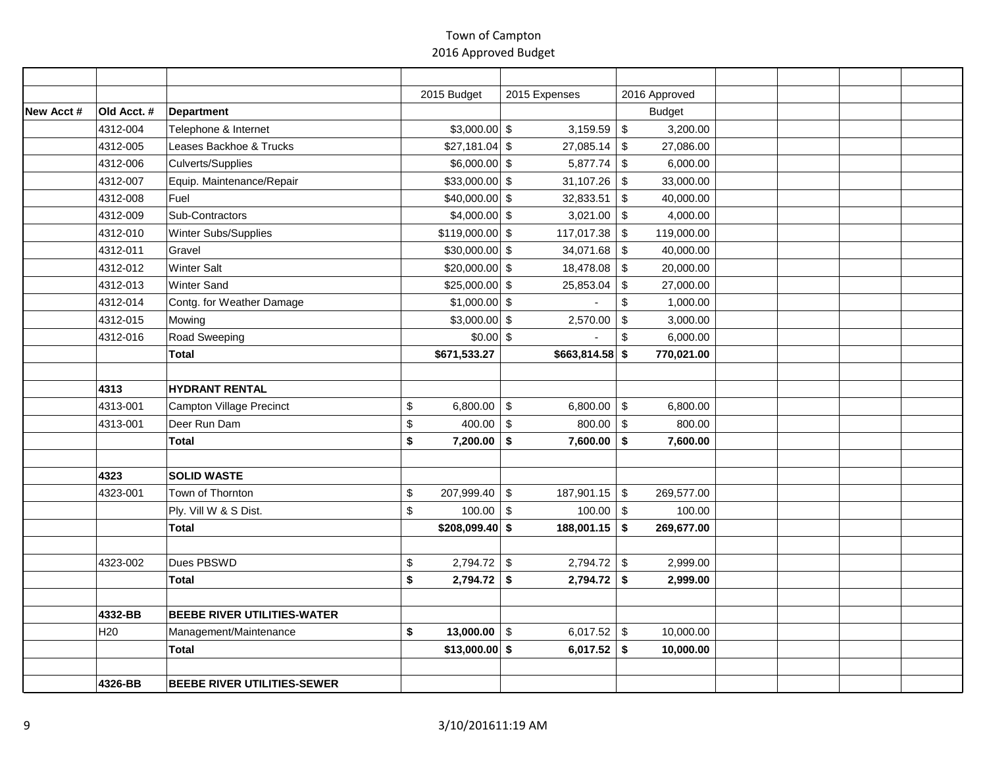|           |                 |                                    | 2015 Budget                    | 2015 Expenses                           | 2016 Approved                          |  |  |
|-----------|-----------------|------------------------------------|--------------------------------|-----------------------------------------|----------------------------------------|--|--|
| New Acct# | Old Acct. #     | Department                         |                                |                                         | <b>Budget</b>                          |  |  |
|           | 4312-004        | Telephone & Internet               | $$3,000.00$ \$                 | 3,159.59                                | $\mathfrak{S}$<br>3,200.00             |  |  |
|           | 4312-005        | Leases Backhoe & Trucks            | $$27,181.04$ \\$               | $27,085.14$ \$                          | 27,086.00                              |  |  |
|           | 4312-006        | Culverts/Supplies                  | $$6,000.00$ \$                 | 5,877.74                                | \$<br>6,000.00                         |  |  |
|           | 4312-007        | Equip. Maintenance/Repair          | $$33,000.00$ \$                | 31,107.26                               | $\sqrt[6]{2}$<br>33,000.00             |  |  |
|           | 4312-008        | Fuel                               | $$40,000.00$ \$                | 32,833.51                               | $\sqrt[6]{\frac{1}{2}}$<br>40,000.00   |  |  |
|           | 4312-009        | Sub-Contractors                    | $$4,000.00$ \$                 | 3,021.00                                | $\sqrt[6]{3}$<br>4,000.00              |  |  |
|           | 4312-010        | Winter Subs/Supplies               | $$119,000.00$ \$               | 117,017.38                              | $\sqrt[6]{3}$<br>119,000.00            |  |  |
|           | 4312-011        | Gravel                             | $$30,000.00$ \$                | 34,071.68                               | $\sqrt[6]{3}$<br>40,000.00             |  |  |
|           | 4312-012        | <b>Winter Salt</b>                 | $$20,000.00$ \$                | 18,478.08                               | $\mathfrak{S}$<br>20,000.00            |  |  |
|           | 4312-013        | <b>Winter Sand</b>                 | $$25,000.00$ \$                | 25,853.04                               | $\boldsymbol{\mathsf{S}}$<br>27,000.00 |  |  |
|           | 4312-014        | Contg. for Weather Damage          | $$1,000.00$ \$                 |                                         | $$\mathbb{S}$$<br>1,000.00             |  |  |
|           | 4312-015        | Mowing                             | $$3,000.00$ \$                 | 2,570.00                                | $\sqrt[6]{\frac{1}{2}}$<br>3,000.00    |  |  |
|           | 4312-016        | Road Sweeping                      | $$0.00$ \$                     |                                         | $\$\$<br>6,000.00                      |  |  |
|           |                 | Total                              | \$671,533.27                   | $$663,814.58$ \$                        | 770,021.00                             |  |  |
|           |                 |                                    |                                |                                         |                                        |  |  |
|           | 4313            | <b>HYDRANT RENTAL</b>              |                                |                                         |                                        |  |  |
|           | 4313-001        | Campton Village Precinct           | \$<br>6,800.00 \\$             | 6,800.00 \\$                            | 6,800.00                               |  |  |
|           | 4313-001        | Deer Run Dam                       | $\mathfrak s$<br>$400.00$ \ \$ | $800.00$ \$                             | 800.00                                 |  |  |
|           |                 | Total                              | \$<br>$7,200.00$ \$            | $7,600.00$ \$                           | 7,600.00                               |  |  |
|           |                 |                                    |                                |                                         |                                        |  |  |
|           | 4323            | <b>SOLID WASTE</b>                 |                                |                                         |                                        |  |  |
|           | 4323-001        | Town of Thornton                   | $207,999.40$ \$<br>\$          | $187,901.15$ \$                         | 269,577.00                             |  |  |
|           |                 | Ply. Vill W & S Dist.              | \$<br>100.00                   | $\sqrt{3}$<br>$100.00$ \$               | 100.00                                 |  |  |
|           |                 | <b>Total</b>                       | \$208,099.40\$                 | $188,001.15$ \$                         | 269,677.00                             |  |  |
|           |                 |                                    |                                |                                         |                                        |  |  |
|           | 4323-002        | Dues PBSWD                         | $2,794.72$ \$<br>\$            | $2,794.72$ \$                           | 2,999.00                               |  |  |
|           |                 | Total                              | 2,794.72<br>\$                 | $\sqrt{5}$<br>$2,794.72$ \$             | 2,999.00                               |  |  |
|           |                 |                                    |                                |                                         |                                        |  |  |
|           | 4332-BB         | <b>BEEBE RIVER UTILITIES-WATER</b> |                                |                                         |                                        |  |  |
|           | H <sub>20</sub> | Management/Maintenance             | 13,000.00<br>\$                | $\sqrt[6]{2}$<br>6,017.52 $\frac{1}{3}$ | 10,000.00                              |  |  |
|           |                 | Total                              | $$13,000.00$$ \$               | $6,017.52$ \$                           | 10,000.00                              |  |  |
|           |                 |                                    |                                |                                         |                                        |  |  |
|           | 4326-BB         | <b>BEEBE RIVER UTILITIES-SEWER</b> |                                |                                         |                                        |  |  |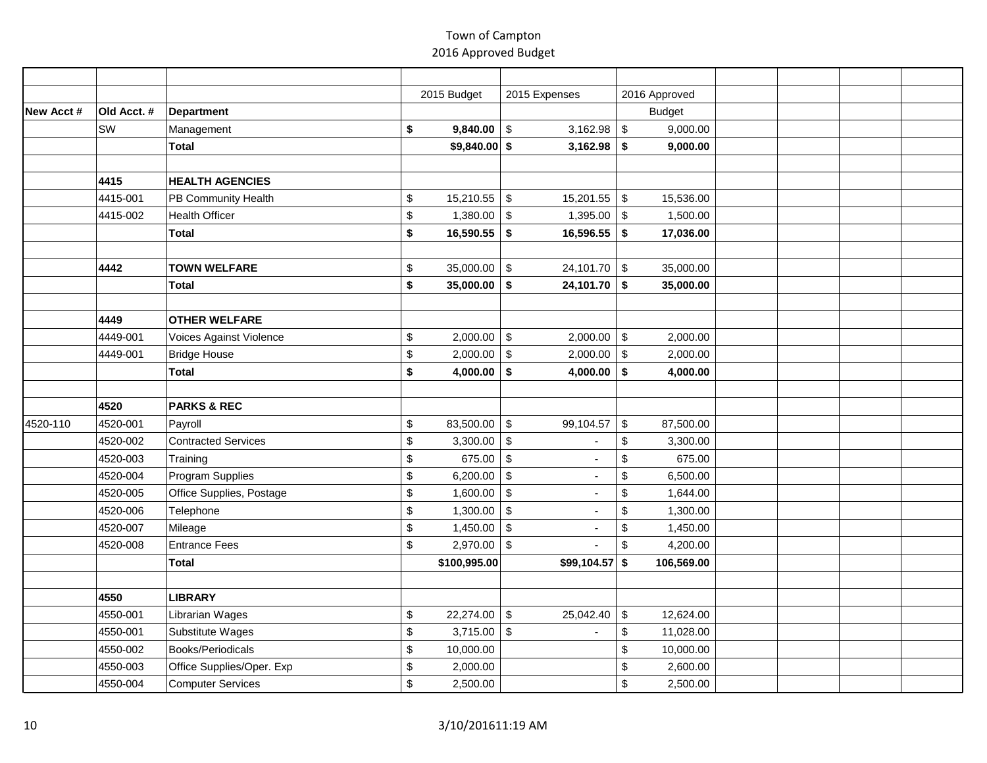|           |             |                            | 2015 Budget        | 2015 Expenses                          | 2016 Approved                          |  |  |
|-----------|-------------|----------------------------|--------------------|----------------------------------------|----------------------------------------|--|--|
| New Acct# | Old Acct. # | Department                 |                    |                                        | <b>Budget</b>                          |  |  |
|           | SW          | Management                 | 9,840.00<br>\$     | $\sqrt{3}$<br>3,162.98                 | $\sqrt[6]{2}$<br>9,000.00              |  |  |
|           |             | Total                      | $$9,840.00$ \$     | $3,162.98$ \$                          | 9,000.00                               |  |  |
|           |             |                            |                    |                                        |                                        |  |  |
|           | 4415        | <b>HEALTH AGENCIES</b>     |                    |                                        |                                        |  |  |
|           | 4415-001    | PB Community Health        | \$<br>15,210.55    | $\sqrt[6]{3}$<br>$15,201.55$ \$        | 15,536.00                              |  |  |
|           | 4415-002    | <b>Health Officer</b>      | \$<br>1,380.00     | $\sqrt[6]{3}$<br>1,395.00              | $\sqrt[6]{3}$<br>1,500.00              |  |  |
|           |             | Total                      | \$<br>16,590.55    | \$<br>16,596.55                        | 17,036.00<br>\$                        |  |  |
|           |             |                            |                    |                                        |                                        |  |  |
|           | 4442        | <b>TOWN WELFARE</b>        | 35,000.00<br>\$    | $\sqrt{3}$<br>$24,101.70$ \$           | 35,000.00                              |  |  |
|           |             | Total                      | 35,000.00<br>\$    | \$<br>$24,101.70$ \$                   | 35,000.00                              |  |  |
|           |             |                            |                    |                                        |                                        |  |  |
|           | 4449        | <b>OTHER WELFARE</b>       |                    |                                        |                                        |  |  |
|           | 4449-001    | Voices Against Violence    | 2,000.00<br>\$     | $$\mathfrak{s}$$<br>2,000.00           | $\boldsymbol{\mathsf{S}}$<br>2,000.00  |  |  |
|           | 4449-001    | <b>Bridge House</b>        | \$<br>2,000.00     | $\sqrt[6]{\frac{1}{2}}$<br>2,000.00    | $\boldsymbol{\mathsf{S}}$<br>2,000.00  |  |  |
|           |             | Total                      | \$<br>4,000.00     | \$<br>4,000.00                         | \$<br>4,000.00                         |  |  |
|           |             |                            |                    |                                        |                                        |  |  |
|           | 4520        | <b>PARKS &amp; REC</b>     |                    |                                        |                                        |  |  |
| 4520-110  | 4520-001    | Payroll                    | 83,500.00 \$<br>\$ | 99,104.57                              | $\boldsymbol{\mathsf{S}}$<br>87,500.00 |  |  |
|           | 4520-002    | <b>Contracted Services</b> | \$<br>3,300.00     | $\sqrt{3}$                             | \$<br>3,300.00                         |  |  |
|           | 4520-003    | Training                   | 675.00<br>\$       | $\sqrt{3}$<br>÷,                       | \$<br>675.00                           |  |  |
|           | 4520-004    | Program Supplies           | 6,200.00<br>\$     | $\sqrt{3}$                             | $\mathsf{\$}$<br>6,500.00              |  |  |
|           | 4520-005    | Office Supplies, Postage   | \$<br>1,600.00     | $\$\,$                                 | $\,$<br>1,644.00                       |  |  |
|           | 4520-006    | Telephone                  | \$<br>1,300.00     | $\sqrt[6]{3}$                          | $\,$<br>1,300.00                       |  |  |
|           | 4520-007    | Mileage                    | \$<br>1,450.00     | $\sqrt[6]{3}$                          | $\,$<br>1,450.00                       |  |  |
|           | 4520-008    | <b>Entrance Fees</b>       | \$<br>2,970.00     | $\sqrt[6]{3}$                          | $\sqrt[6]{\frac{1}{2}}$<br>4,200.00    |  |  |
|           |             | Total                      | \$100,995.00       | $$99,104.57$ \$                        | 106,569.00                             |  |  |
|           |             |                            |                    |                                        |                                        |  |  |
|           | 4550        | <b>LIBRARY</b>             |                    |                                        |                                        |  |  |
|           | 4550-001    | Librarian Wages            | 22,274.00<br>\$    | $\boldsymbol{\mathsf{S}}$<br>25,042.40 | $\boldsymbol{\mathsf{S}}$<br>12,624.00 |  |  |
|           | 4550-001    | Substitute Wages           | \$<br>3,715.00     | $\boldsymbol{\mathsf{S}}$              | \$<br>11,028.00                        |  |  |
|           | 4550-002    | Books/Periodicals          | \$<br>10,000.00    |                                        | \$<br>10,000.00                        |  |  |
|           | 4550-003    | Office Supplies/Oper. Exp  | \$<br>2,000.00     |                                        | \$<br>2,600.00                         |  |  |
|           | 4550-004    | <b>Computer Services</b>   | \$<br>2,500.00     |                                        | $\,$<br>2,500.00                       |  |  |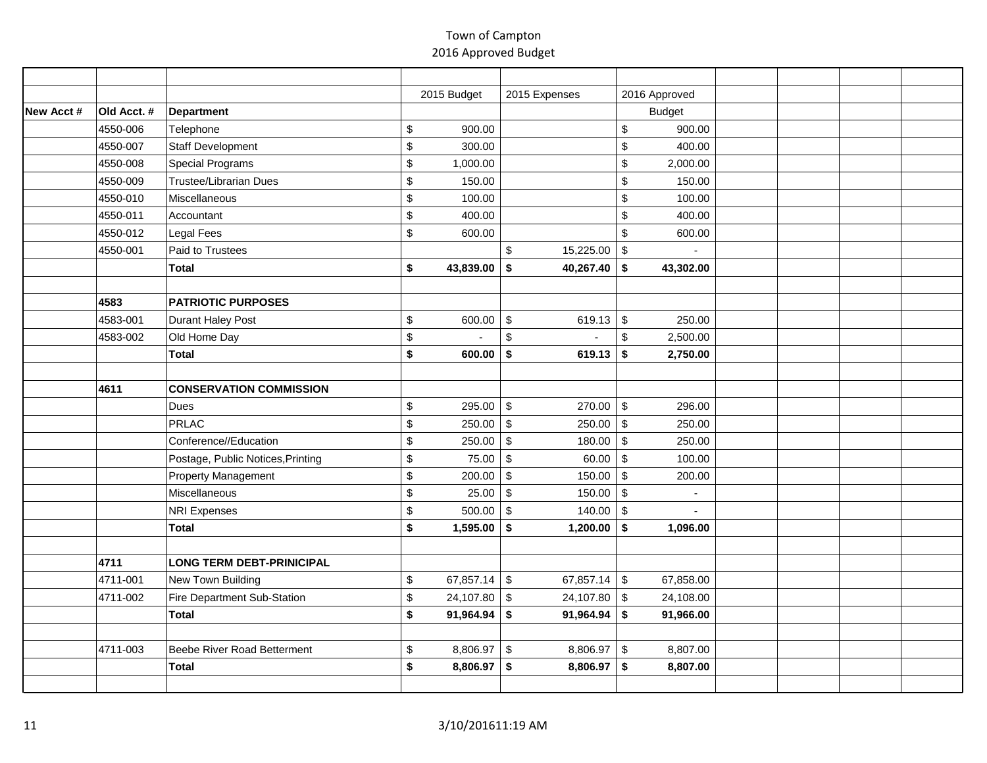|           |             |                                   |             | 2015 Budget | 2015 Expenses                                   |                           | 2016 Approved |  |  |
|-----------|-------------|-----------------------------------|-------------|-------------|-------------------------------------------------|---------------------------|---------------|--|--|
| New Acct# | Old Acct. # | Department                        |             |             |                                                 |                           | <b>Budget</b> |  |  |
|           | 4550-006    | Telephone                         | \$          | 900.00      |                                                 | $$\mathbb{S}$$            | 900.00        |  |  |
|           | 4550-007    | Staff Development                 | \$          | 300.00      |                                                 | $\,$                      | 400.00        |  |  |
|           | 4550-008    | Special Programs                  | \$          | 1,000.00    |                                                 | $\mathsf{\$}$             | 2,000.00      |  |  |
|           | 4550-009    | <b>Trustee/Librarian Dues</b>     | \$          | 150.00      |                                                 | $\mathsf{\$}$             | 150.00        |  |  |
|           | 4550-010    | Miscellaneous                     | \$          | 100.00      |                                                 | $\,$                      | 100.00        |  |  |
|           | 4550-011    | Accountant                        | $\,$        | 400.00      |                                                 | $\,$                      | 400.00        |  |  |
|           | 4550-012    | <b>Legal Fees</b>                 | \$          | 600.00      |                                                 | $\mathbb{S}$              | 600.00        |  |  |
|           | 4550-001    | Paid to Trustees                  |             |             | \$<br>15,225.00                                 | $\sqrt[6]{\frac{1}{2}}$   |               |  |  |
|           |             | Total                             | \$          | 43,839.00   | \$<br>40,267.40                                 | \$                        | 43,302.00     |  |  |
|           |             |                                   |             |             |                                                 |                           |               |  |  |
|           | 4583        | <b>PATRIOTIC PURPOSES</b>         |             |             |                                                 |                           |               |  |  |
|           | 4583-001    | Durant Haley Post                 | \$          | 600.00      | $\sqrt[6]{\frac{1}{2}}$<br>619.13 $\frac{1}{3}$ |                           | 250.00        |  |  |
|           | 4583-002    | Old Home Day                      | \$          |             | $\,$                                            | $\mathbb{S}$              | 2,500.00      |  |  |
|           |             | Total                             | \$          | 600.00      | \$<br>619.13                                    | \$                        | 2,750.00      |  |  |
|           |             |                                   |             |             |                                                 |                           |               |  |  |
|           | 4611        | <b>CONSERVATION COMMISSION</b>    |             |             |                                                 |                           |               |  |  |
|           |             | Dues                              | \$          | 295.00      | $\sqrt[6]{\frac{1}{2}}$<br>$270.00$ \$          |                           | 296.00        |  |  |
|           |             | PRLAC                             | $\mathbb S$ | 250.00      | $\sqrt[6]{3}$<br>250.00                         | $\sqrt[6]{3}$             | 250.00        |  |  |
|           |             | Conference//Education             | \$          | 250.00      | $\sqrt[6]{3}$<br>180.00                         | $\sqrt[6]{3}$             | 250.00        |  |  |
|           |             | Postage, Public Notices, Printing | \$          | 75.00       | $\sqrt{3}$<br>60.00                             | $\sqrt[6]{2}$             | 100.00        |  |  |
|           |             | Property Management               | \$          | 200.00      | $\sqrt[6]{3}$<br>150.00                         | $\sqrt[6]{2}$             | 200.00        |  |  |
|           |             | Miscellaneous                     | \$          | 25.00       | $\sqrt[6]{\frac{1}{2}}$<br>150.00               | $\sqrt[6]{2}$             | $\sim$        |  |  |
|           |             | <b>NRI Expenses</b>               | \$          | 500.00      | $\$\,$<br>140.00                                | $\boldsymbol{\mathsf{S}}$ | L.            |  |  |
|           |             | Total                             | \$          | 1,595.00    | \$<br>1,200.00                                  | \$                        | 1,096.00      |  |  |
|           |             |                                   |             |             |                                                 |                           |               |  |  |
|           | 4711        | <b>LONG TERM DEBT-PRINICIPAL</b>  |             |             |                                                 |                           |               |  |  |
|           | 4711-001    | New Town Building                 | \$          | 67,857.14   | $\sqrt[6]{2}$<br>67,857.14 $\frac{1}{3}$        |                           | 67,858.00     |  |  |
|           | 4711-002    | Fire Department Sub-Station       | \$          | 24,107.80   | $\sqrt[6]{3}$<br>24,107.80                      | $\sqrt[6]{3}$             | 24,108.00     |  |  |
|           |             | Total                             | \$          | 91,964.94   | $91,964.94$ \$<br>\$                            |                           | 91,966.00     |  |  |
|           |             |                                   |             |             |                                                 |                           |               |  |  |
|           | 4711-003    | Beebe River Road Betterment       | \$          | 8,806.97    | $\boldsymbol{\mathsf{S}}$<br>8,806.97           | $\boldsymbol{\mathsf{S}}$ | 8,807.00      |  |  |
|           |             | Total                             | \$          | 8,806.97    | \$<br>8,806.97                                  | \$                        | 8,807.00      |  |  |
|           |             |                                   |             |             |                                                 |                           |               |  |  |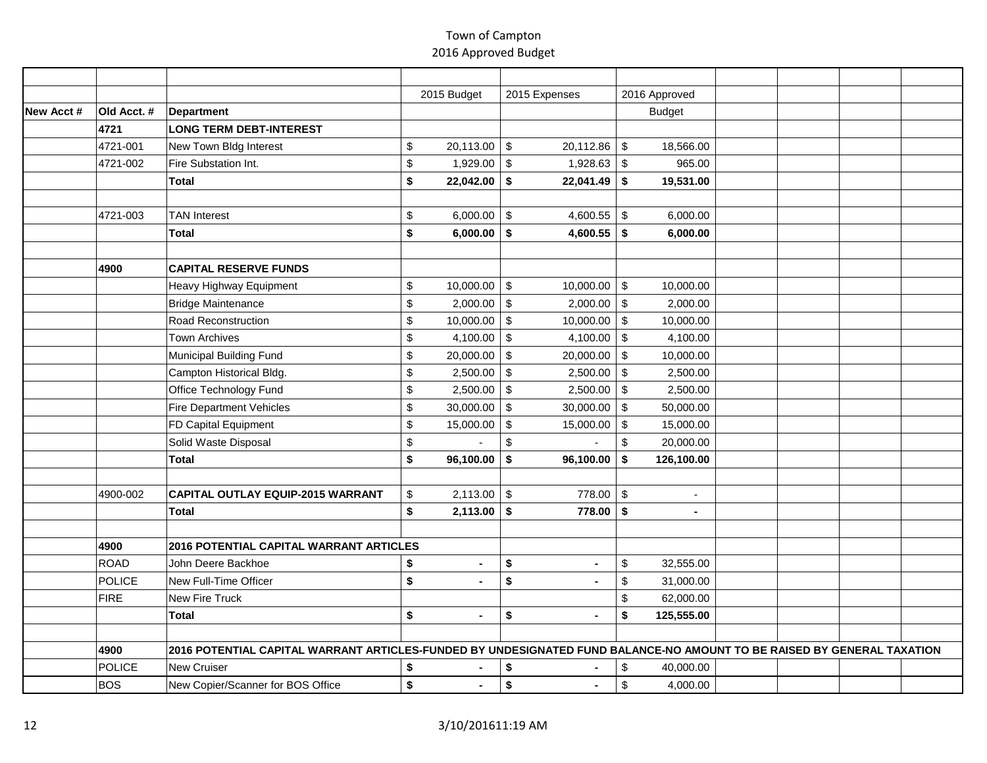|           |               |                                                                                                                        | 2015 Budget          | 2015 Expenses                       | 2016 Approved                          |  |  |
|-----------|---------------|------------------------------------------------------------------------------------------------------------------------|----------------------|-------------------------------------|----------------------------------------|--|--|
| New Acct# | Old Acct. #   | Department                                                                                                             |                      |                                     | <b>Budget</b>                          |  |  |
|           | 4721          | <b>LONG TERM DEBT-INTEREST</b>                                                                                         |                      |                                     |                                        |  |  |
|           | 4721-001      | New Town Bldg Interest                                                                                                 | \$<br>$20,113.00$ \$ | $20,112.86$ \$                      | 18,566.00                              |  |  |
|           | 4721-002      | Fire Substation Int.                                                                                                   | \$<br>1,929.00       | $\sqrt{3}$<br>$1,928.63$ \$         | 965.00                                 |  |  |
|           |               | <b>Total</b>                                                                                                           | \$<br>22,042.00      | \$<br>$22,041.49$ \$                | 19,531.00                              |  |  |
|           |               |                                                                                                                        |                      |                                     |                                        |  |  |
|           | 4721-003      | <b>TAN Interest</b>                                                                                                    | \$<br>6,000.00       | $\sqrt{3}$<br>4,600.55 $\vert$ \$   | 6,000.00                               |  |  |
|           |               | Total                                                                                                                  | \$<br>6,000.00       | \$<br>4,600.55 $\vert$ \$           | 6,000.00                               |  |  |
|           |               |                                                                                                                        |                      |                                     |                                        |  |  |
|           | 4900          | <b>CAPITAL RESERVE FUNDS</b>                                                                                           |                      |                                     |                                        |  |  |
|           |               | Heavy Highway Equipment                                                                                                | \$<br>10,000.00      | \$<br>10,000.00                     | \$<br>10,000.00                        |  |  |
|           |               | <b>Bridge Maintenance</b>                                                                                              | \$<br>2,000.00       | $\$\,$<br>2,000.00                  | $\sqrt[6]{2}$<br>2,000.00              |  |  |
|           |               | Road Reconstruction                                                                                                    | \$<br>10,000.00      | $\sqrt[6]{3}$<br>10,000.00          | $\sqrt[6]{2}$<br>10,000.00             |  |  |
|           |               | <b>Town Archives</b>                                                                                                   | \$<br>4,100.00       | $\sqrt[6]{3}$<br>4,100.00           | $\sqrt[6]{3}$<br>4,100.00              |  |  |
|           |               | Municipal Building Fund                                                                                                | \$<br>20,000.00      | $\sqrt[6]{3}$<br>20,000.00          | $\sqrt[6]{3}$<br>10,000.00             |  |  |
|           |               | Campton Historical Bldg.                                                                                               | \$<br>2,500.00       | $\sqrt[6]{3}$<br>$2,500.00$ \$      | 2,500.00                               |  |  |
|           |               | Office Technology Fund                                                                                                 | \$<br>$2,500.00$ \$  | $2,500.00$ \$                       | 2,500.00                               |  |  |
|           |               | <b>Fire Department Vehicles</b>                                                                                        | \$<br>$30,000.00$ \$ | $30,000.00$ \$                      | 50,000.00                              |  |  |
|           |               | FD Capital Equipment                                                                                                   | \$<br>15,000.00      | $\sqrt{3}$<br>$15,000.00$ \$        | 15,000.00                              |  |  |
|           |               | Solid Waste Disposal                                                                                                   | \$<br>$\overline{a}$ | $\mathfrak{s}$<br>$\overline{a}$    | $\mathbb{S}$<br>20,000.00              |  |  |
|           |               | <b>Total</b>                                                                                                           | \$<br>96,100.00      | \$<br>96,100.00                     | \$<br>126,100.00                       |  |  |
|           |               |                                                                                                                        |                      |                                     |                                        |  |  |
|           | 4900-002      | <b>CAPITAL OUTLAY EQUIP-2015 WARRANT</b>                                                                               | \$<br>2,113.00       | $\boldsymbol{\mathsf{S}}$<br>778.00 | $\sqrt[6]{2}$<br>$\blacksquare$        |  |  |
|           |               | Total                                                                                                                  | \$<br>2,113.00       | 778.00<br>\$                        | \$                                     |  |  |
|           |               |                                                                                                                        |                      |                                     |                                        |  |  |
|           | 4900          | <b>2016 POTENTIAL CAPITAL WARRANT ARTICLES</b>                                                                         |                      |                                     |                                        |  |  |
|           | ROAD          | John Deere Backhoe                                                                                                     | \$<br>$\blacksquare$ | \$                                  | \$<br>32,555.00                        |  |  |
|           | <b>POLICE</b> | <b>New Full-Time Officer</b>                                                                                           | \$                   | \$                                  | $\boldsymbol{\mathsf{S}}$<br>31,000.00 |  |  |
|           | FIRE          | <b>New Fire Truck</b>                                                                                                  |                      |                                     | $\,$<br>62,000.00                      |  |  |
|           |               | Total                                                                                                                  | \$<br>$\blacksquare$ | \$                                  | \$<br>125,555.00                       |  |  |
|           |               |                                                                                                                        |                      |                                     |                                        |  |  |
|           | 4900          | 2016 POTENTIAL CAPITAL WARRANT ARTICLES-FUNDED BY UNDESIGNATED FUND BALANCE-NO AMOUNT TO BE RAISED BY GENERAL TAXATION |                      |                                     |                                        |  |  |
|           | <b>POLICE</b> | <b>New Cruiser</b>                                                                                                     | \$                   | \$                                  | $\sqrt[6]{2}$<br>40,000.00             |  |  |
|           | BOS           | New Copier/Scanner for BOS Office                                                                                      | \$<br>$\blacksquare$ | \$<br>$\blacksquare$                | $\mathbb{S}$<br>4,000.00               |  |  |